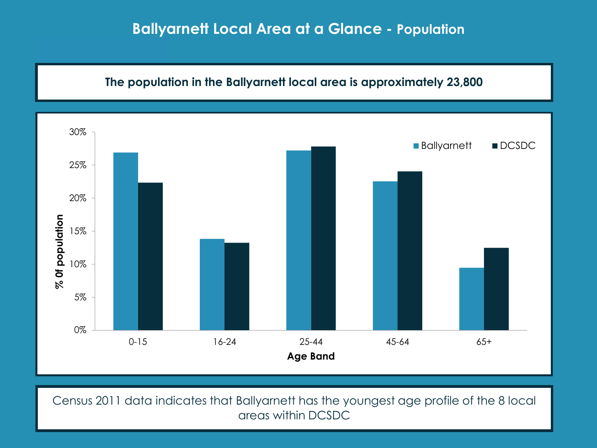

Census 2011 data indicates that Ballyarnett has the youngest age profile of the 8 local areas within DCSDC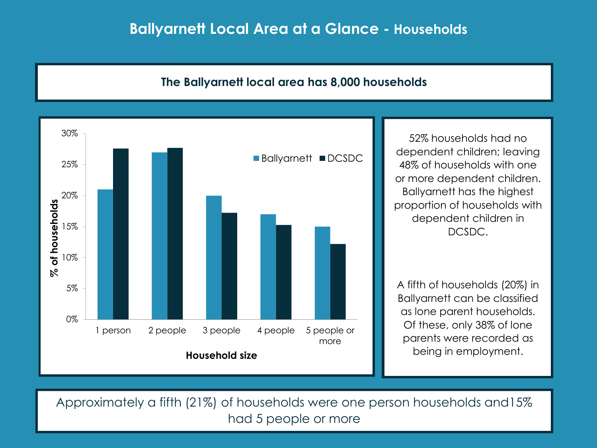### **Ballyarnett Local Area at a Glance - Households**

### **The Ballyarnett local area has 8,000 households**



52% households had no dependent children; leaving 48% of households with one or more dependent children. Ballyarnett has the highest proportion of households with dependent children in DCSDC.

A fifth of households (20%) in Ballyarnett can be classified as lone parent households. Of these, only 38% of lone parents were recorded as being in employment.

Approximately a fifth (21%) of households were one person households and15% had 5 people or more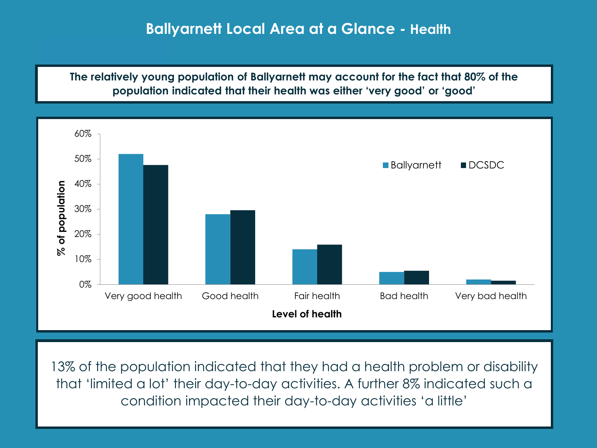# **Ballyarnett Local Area at a Glance - Health**

**The relatively young population of Ballyarnett may account for the fact that 80% of the population indicated that their health was either 'very good' or 'good'**



13% of the population indicated that they had a health problem or disability that 'limited a lot' their day-to-day activities. A further 8% indicated such a condition impacted their day-to-day activities 'a little'